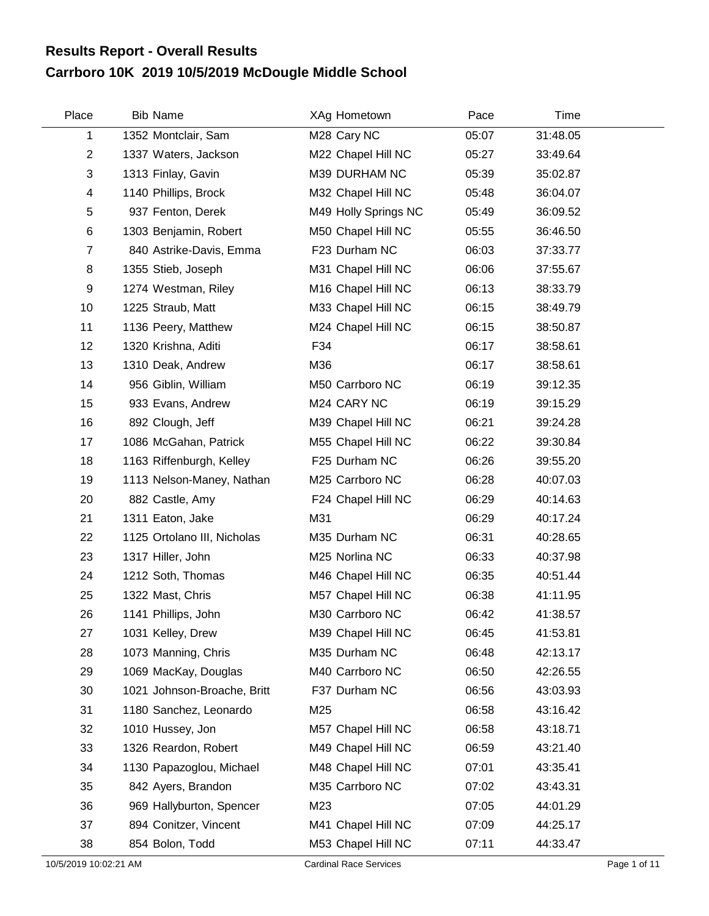## **Carrboro 10K 2019 10/5/2019 McDougle Middle School Results Report - Overall Results**

| Place          | <b>Bib Name</b>             | XAg Hometown         | Pace  | Time     |  |
|----------------|-----------------------------|----------------------|-------|----------|--|
| 1              | 1352 Montclair, Sam         | M28 Cary NC          | 05:07 | 31:48.05 |  |
| $\overline{2}$ | 1337 Waters, Jackson        | M22 Chapel Hill NC   | 05:27 | 33:49.64 |  |
| 3              | 1313 Finlay, Gavin          | M39 DURHAM NC        | 05:39 | 35:02.87 |  |
| 4              | 1140 Phillips, Brock        | M32 Chapel Hill NC   | 05:48 | 36:04.07 |  |
| 5              | 937 Fenton, Derek           | M49 Holly Springs NC | 05:49 | 36:09.52 |  |
| $\,6$          | 1303 Benjamin, Robert       | M50 Chapel Hill NC   | 05:55 | 36:46.50 |  |
| $\overline{7}$ | 840 Astrike-Davis, Emma     | F23 Durham NC        | 06:03 | 37:33.77 |  |
| 8              | 1355 Stieb, Joseph          | M31 Chapel Hill NC   | 06:06 | 37:55.67 |  |
| 9              | 1274 Westman, Riley         | M16 Chapel Hill NC   | 06:13 | 38:33.79 |  |
| 10             | 1225 Straub, Matt           | M33 Chapel Hill NC   | 06:15 | 38:49.79 |  |
| 11             | 1136 Peery, Matthew         | M24 Chapel Hill NC   | 06:15 | 38:50.87 |  |
| 12             | 1320 Krishna, Aditi         | F34                  | 06:17 | 38:58.61 |  |
| 13             | 1310 Deak, Andrew           | M36                  | 06:17 | 38:58.61 |  |
| 14             | 956 Giblin, William         | M50 Carrboro NC      | 06:19 | 39:12.35 |  |
| 15             | 933 Evans, Andrew           | M24 CARY NC          | 06:19 | 39:15.29 |  |
| 16             | 892 Clough, Jeff            | M39 Chapel Hill NC   | 06:21 | 39:24.28 |  |
| 17             | 1086 McGahan, Patrick       | M55 Chapel Hill NC   | 06:22 | 39:30.84 |  |
| 18             | 1163 Riffenburgh, Kelley    | F25 Durham NC        | 06:26 | 39:55.20 |  |
| 19             | 1113 Nelson-Maney, Nathan   | M25 Carrboro NC      | 06:28 | 40:07.03 |  |
| 20             | 882 Castle, Amy             | F24 Chapel Hill NC   | 06:29 | 40:14.63 |  |
| 21             | 1311 Eaton, Jake            | M31                  | 06:29 | 40:17.24 |  |
| 22             | 1125 Ortolano III, Nicholas | M35 Durham NC        | 06:31 | 40:28.65 |  |
| 23             | 1317 Hiller, John           | M25 Norlina NC       | 06:33 | 40:37.98 |  |
| 24             | 1212 Soth, Thomas           | M46 Chapel Hill NC   | 06:35 | 40:51.44 |  |
| 25             | 1322 Mast, Chris            | M57 Chapel Hill NC   | 06:38 | 41:11.95 |  |
| 26             | 1141 Phillips, John         | M30 Carrboro NC      | 06:42 | 41:38.57 |  |
| 27             | 1031 Kelley, Drew           | M39 Chapel Hill NC   | 06:45 | 41:53.81 |  |
| 28             | 1073 Manning, Chris         | M35 Durham NC        | 06:48 | 42:13.17 |  |
| 29             | 1069 MacKay, Douglas        | M40 Carrboro NC      | 06:50 | 42:26.55 |  |
| 30             | 1021 Johnson-Broache, Britt | F37 Durham NC        | 06:56 | 43:03.93 |  |
| 31             | 1180 Sanchez, Leonardo      | M25                  | 06:58 | 43:16.42 |  |
| 32             | 1010 Hussey, Jon            | M57 Chapel Hill NC   | 06:58 | 43:18.71 |  |
| 33             | 1326 Reardon, Robert        | M49 Chapel Hill NC   | 06:59 | 43:21.40 |  |
| 34             | 1130 Papazoglou, Michael    | M48 Chapel Hill NC   | 07:01 | 43:35.41 |  |
| 35             | 842 Ayers, Brandon          | M35 Carrboro NC      | 07:02 | 43:43.31 |  |
| 36             | 969 Hallyburton, Spencer    | M23                  | 07:05 | 44:01.29 |  |
| 37             | 894 Conitzer, Vincent       | M41 Chapel Hill NC   | 07:09 | 44:25.17 |  |
| 38             | 854 Bolon, Todd             | M53 Chapel Hill NC   | 07:11 | 44:33.47 |  |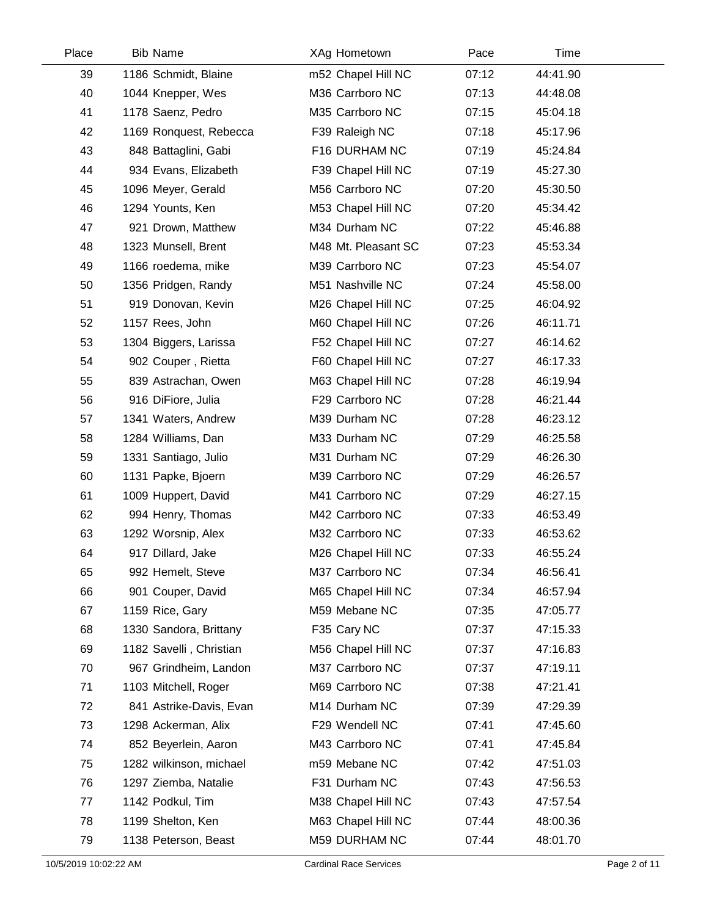| Place | <b>Bib Name</b>         | XAg Hometown        | Pace  | Time     |  |
|-------|-------------------------|---------------------|-------|----------|--|
| 39    | 1186 Schmidt, Blaine    | m52 Chapel Hill NC  | 07:12 | 44:41.90 |  |
| 40    | 1044 Knepper, Wes       | M36 Carrboro NC     | 07:13 | 44:48.08 |  |
| 41    | 1178 Saenz, Pedro       | M35 Carrboro NC     | 07:15 | 45:04.18 |  |
| 42    | 1169 Ronquest, Rebecca  | F39 Raleigh NC      | 07:18 | 45:17.96 |  |
| 43    | 848 Battaglini, Gabi    | F16 DURHAM NC       | 07:19 | 45:24.84 |  |
| 44    | 934 Evans, Elizabeth    | F39 Chapel Hill NC  | 07:19 | 45:27.30 |  |
| 45    | 1096 Meyer, Gerald      | M56 Carrboro NC     | 07:20 | 45:30.50 |  |
| 46    | 1294 Younts, Ken        | M53 Chapel Hill NC  | 07:20 | 45:34.42 |  |
| 47    | 921 Drown, Matthew      | M34 Durham NC       | 07:22 | 45:46.88 |  |
| 48    | 1323 Munsell, Brent     | M48 Mt. Pleasant SC | 07:23 | 45:53.34 |  |
| 49    | 1166 roedema, mike      | M39 Carrboro NC     | 07:23 | 45:54.07 |  |
| 50    | 1356 Pridgen, Randy     | M51 Nashville NC    | 07:24 | 45:58.00 |  |
| 51    | 919 Donovan, Kevin      | M26 Chapel Hill NC  | 07:25 | 46:04.92 |  |
| 52    | 1157 Rees, John         | M60 Chapel Hill NC  | 07:26 | 46:11.71 |  |
| 53    | 1304 Biggers, Larissa   | F52 Chapel Hill NC  | 07:27 | 46:14.62 |  |
| 54    | 902 Couper, Rietta      | F60 Chapel Hill NC  | 07:27 | 46:17.33 |  |
| 55    | 839 Astrachan, Owen     | M63 Chapel Hill NC  | 07:28 | 46:19.94 |  |
| 56    | 916 DiFiore, Julia      | F29 Carrboro NC     | 07:28 | 46:21.44 |  |
| 57    | 1341 Waters, Andrew     | M39 Durham NC       | 07:28 | 46:23.12 |  |
| 58    | 1284 Williams, Dan      | M33 Durham NC       | 07:29 | 46:25.58 |  |
| 59    | 1331 Santiago, Julio    | M31 Durham NC       | 07:29 | 46:26.30 |  |
| 60    | 1131 Papke, Bjoern      | M39 Carrboro NC     | 07:29 | 46:26.57 |  |
| 61    | 1009 Huppert, David     | M41 Carrboro NC     | 07:29 | 46:27.15 |  |
| 62    | 994 Henry, Thomas       | M42 Carrboro NC     | 07:33 | 46:53.49 |  |
| 63    | 1292 Worsnip, Alex      | M32 Carrboro NC     | 07:33 | 46:53.62 |  |
| 64    | 917 Dillard, Jake       | M26 Chapel Hill NC  | 07:33 | 46:55.24 |  |
| 65    | 992 Hemelt, Steve       | M37 Carrboro NC     | 07:34 | 46:56.41 |  |
| 66    | 901 Couper, David       | M65 Chapel Hill NC  | 07:34 | 46:57.94 |  |
| 67    | 1159 Rice, Gary         | M59 Mebane NC       | 07:35 | 47:05.77 |  |
| 68    | 1330 Sandora, Brittany  | F35 Cary NC         | 07:37 | 47:15.33 |  |
| 69    | 1182 Savelli, Christian | M56 Chapel Hill NC  | 07:37 | 47:16.83 |  |
| 70    | 967 Grindheim, Landon   | M37 Carrboro NC     | 07:37 | 47:19.11 |  |
| 71    | 1103 Mitchell, Roger    | M69 Carrboro NC     | 07:38 | 47:21.41 |  |
| 72    | 841 Astrike-Davis, Evan | M14 Durham NC       | 07:39 | 47:29.39 |  |
| 73    | 1298 Ackerman, Alix     | F29 Wendell NC      | 07:41 | 47:45.60 |  |
| 74    | 852 Beyerlein, Aaron    | M43 Carrboro NC     | 07:41 | 47:45.84 |  |
| 75    | 1282 wilkinson, michael | m59 Mebane NC       | 07:42 | 47:51.03 |  |
| 76    | 1297 Ziemba, Natalie    | F31 Durham NC       | 07:43 | 47:56.53 |  |
| 77    | 1142 Podkul, Tim        | M38 Chapel Hill NC  | 07:43 | 47:57.54 |  |
| 78    | 1199 Shelton, Ken       | M63 Chapel Hill NC  | 07:44 | 48:00.36 |  |
| 79    | 1138 Peterson, Beast    | M59 DURHAM NC       | 07:44 | 48:01.70 |  |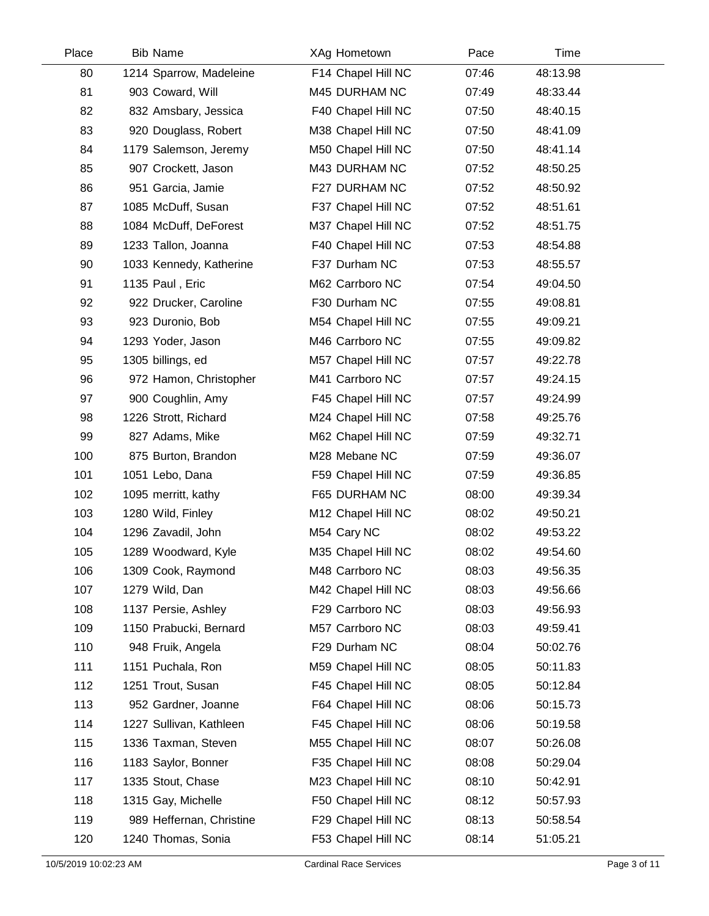| Place | <b>Bib Name</b>          | XAg Hometown       | Pace  | Time     |  |
|-------|--------------------------|--------------------|-------|----------|--|
| 80    | 1214 Sparrow, Madeleine  | F14 Chapel Hill NC | 07:46 | 48:13.98 |  |
| 81    | 903 Coward, Will         | M45 DURHAM NC      | 07:49 | 48:33.44 |  |
| 82    | 832 Amsbary, Jessica     | F40 Chapel Hill NC | 07:50 | 48:40.15 |  |
| 83    | 920 Douglass, Robert     | M38 Chapel Hill NC | 07:50 | 48:41.09 |  |
| 84    | 1179 Salemson, Jeremy    | M50 Chapel Hill NC | 07:50 | 48:41.14 |  |
| 85    | 907 Crockett, Jason      | M43 DURHAM NC      | 07:52 | 48:50.25 |  |
| 86    | 951 Garcia, Jamie        | F27 DURHAM NC      | 07:52 | 48:50.92 |  |
| 87    | 1085 McDuff, Susan       | F37 Chapel Hill NC | 07:52 | 48:51.61 |  |
| 88    | 1084 McDuff, DeForest    | M37 Chapel Hill NC | 07:52 | 48:51.75 |  |
| 89    | 1233 Tallon, Joanna      | F40 Chapel Hill NC | 07:53 | 48:54.88 |  |
| 90    | 1033 Kennedy, Katherine  | F37 Durham NC      | 07:53 | 48:55.57 |  |
| 91    | 1135 Paul, Eric          | M62 Carrboro NC    | 07:54 | 49:04.50 |  |
| 92    | 922 Drucker, Caroline    | F30 Durham NC      | 07:55 | 49:08.81 |  |
| 93    | 923 Duronio, Bob         | M54 Chapel Hill NC | 07:55 | 49:09.21 |  |
| 94    | 1293 Yoder, Jason        | M46 Carrboro NC    | 07:55 | 49:09.82 |  |
| 95    | 1305 billings, ed        | M57 Chapel Hill NC | 07:57 | 49:22.78 |  |
| 96    | 972 Hamon, Christopher   | M41 Carrboro NC    | 07:57 | 49:24.15 |  |
| 97    | 900 Coughlin, Amy        | F45 Chapel Hill NC | 07:57 | 49:24.99 |  |
| 98    | 1226 Strott, Richard     | M24 Chapel Hill NC | 07:58 | 49:25.76 |  |
| 99    | 827 Adams, Mike          | M62 Chapel Hill NC | 07:59 | 49:32.71 |  |
| 100   | 875 Burton, Brandon      | M28 Mebane NC      | 07:59 | 49:36.07 |  |
| 101   | 1051 Lebo, Dana          | F59 Chapel Hill NC | 07:59 | 49:36.85 |  |
| 102   | 1095 merritt, kathy      | F65 DURHAM NC      | 08:00 | 49:39.34 |  |
| 103   | 1280 Wild, Finley        | M12 Chapel Hill NC | 08:02 | 49:50.21 |  |
| 104   | 1296 Zavadil, John       | M54 Cary NC        | 08:02 | 49:53.22 |  |
| 105   | 1289 Woodward, Kyle      | M35 Chapel Hill NC | 08:02 | 49:54.60 |  |
| 106   | 1309 Cook, Raymond       | M48 Carrboro NC    | 08:03 | 49:56.35 |  |
| 107   | 1279 Wild, Dan           | M42 Chapel Hill NC | 08:03 | 49:56.66 |  |
| 108   | 1137 Persie, Ashley      | F29 Carrboro NC    | 08:03 | 49:56.93 |  |
| 109   | 1150 Prabucki, Bernard   | M57 Carrboro NC    | 08:03 | 49:59.41 |  |
| 110   | 948 Fruik, Angela        | F29 Durham NC      | 08:04 | 50:02.76 |  |
| 111   | 1151 Puchala, Ron        | M59 Chapel Hill NC | 08:05 | 50:11.83 |  |
| 112   | 1251 Trout, Susan        | F45 Chapel Hill NC | 08:05 | 50:12.84 |  |
| 113   | 952 Gardner, Joanne      | F64 Chapel Hill NC | 08:06 | 50:15.73 |  |
| 114   | 1227 Sullivan, Kathleen  | F45 Chapel Hill NC | 08:06 | 50:19.58 |  |
| 115   | 1336 Taxman, Steven      | M55 Chapel Hill NC | 08:07 | 50:26.08 |  |
| 116   | 1183 Saylor, Bonner      | F35 Chapel Hill NC | 08:08 | 50:29.04 |  |
| 117   | 1335 Stout, Chase        | M23 Chapel Hill NC | 08:10 | 50:42.91 |  |
| 118   | 1315 Gay, Michelle       | F50 Chapel Hill NC | 08:12 | 50:57.93 |  |
| 119   | 989 Heffernan, Christine | F29 Chapel Hill NC | 08:13 | 50:58.54 |  |
| 120   | 1240 Thomas, Sonia       | F53 Chapel Hill NC | 08:14 | 51:05.21 |  |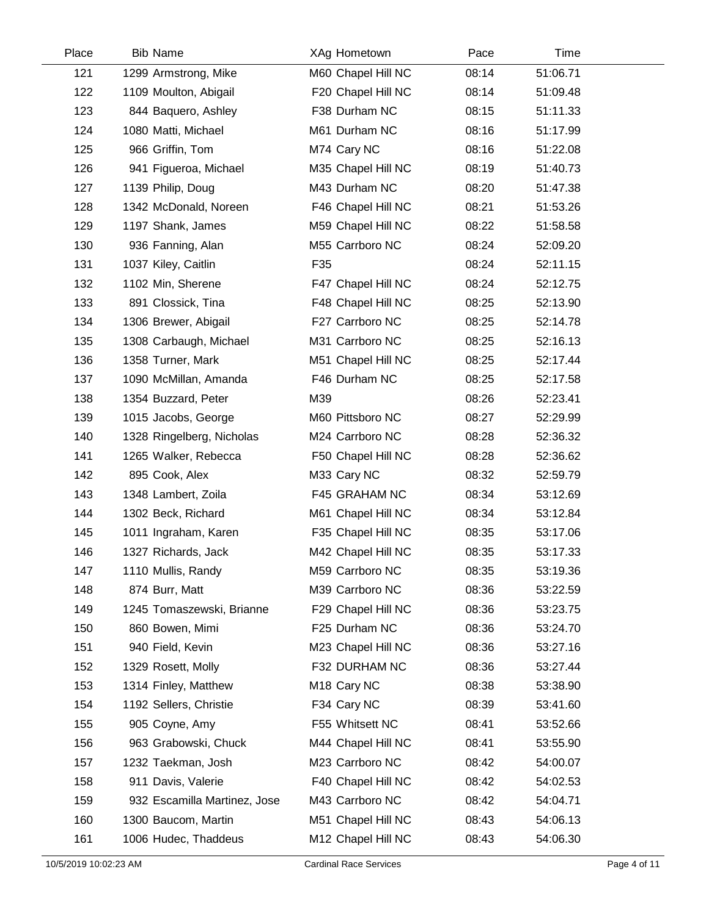| Place | <b>Bib Name</b>              | XAg Hometown            | Pace  | Time     |  |
|-------|------------------------------|-------------------------|-------|----------|--|
| 121   | 1299 Armstrong, Mike         | M60 Chapel Hill NC      | 08:14 | 51:06.71 |  |
| 122   | 1109 Moulton, Abigail        | F20 Chapel Hill NC      | 08:14 | 51:09.48 |  |
| 123   | 844 Baquero, Ashley          | F38 Durham NC           | 08:15 | 51:11.33 |  |
| 124   | 1080 Matti, Michael          | M61 Durham NC           | 08:16 | 51:17.99 |  |
| 125   | 966 Griffin, Tom             | M74 Cary NC             | 08:16 | 51:22.08 |  |
| 126   | 941 Figueroa, Michael        | M35 Chapel Hill NC      | 08:19 | 51:40.73 |  |
| 127   | 1139 Philip, Doug            | M43 Durham NC           | 08:20 | 51:47.38 |  |
| 128   | 1342 McDonald, Noreen        | F46 Chapel Hill NC      | 08:21 | 51:53.26 |  |
| 129   | 1197 Shank, James            | M59 Chapel Hill NC      | 08:22 | 51:58.58 |  |
| 130   | 936 Fanning, Alan            | M55 Carrboro NC         | 08:24 | 52:09.20 |  |
| 131   | 1037 Kiley, Caitlin          | F35                     | 08:24 | 52:11.15 |  |
| 132   | 1102 Min, Sherene            | F47 Chapel Hill NC      | 08:24 | 52:12.75 |  |
| 133   | 891 Clossick, Tina           | F48 Chapel Hill NC      | 08:25 | 52:13.90 |  |
| 134   | 1306 Brewer, Abigail         | F27 Carrboro NC         | 08:25 | 52:14.78 |  |
| 135   | 1308 Carbaugh, Michael       | M31 Carrboro NC         | 08:25 | 52:16.13 |  |
| 136   | 1358 Turner, Mark            | M51 Chapel Hill NC      | 08:25 | 52:17.44 |  |
| 137   | 1090 McMillan, Amanda        | F46 Durham NC           | 08:25 | 52:17.58 |  |
| 138   | 1354 Buzzard, Peter          | M39                     | 08:26 | 52:23.41 |  |
| 139   | 1015 Jacobs, George          | M60 Pittsboro NC        | 08:27 | 52:29.99 |  |
| 140   | 1328 Ringelberg, Nicholas    | M24 Carrboro NC         | 08:28 | 52:36.32 |  |
| 141   | 1265 Walker, Rebecca         | F50 Chapel Hill NC      | 08:28 | 52:36.62 |  |
| 142   | 895 Cook, Alex               | M33 Cary NC             | 08:32 | 52:59.79 |  |
| 143   | 1348 Lambert, Zoila          | F45 GRAHAM NC           | 08:34 | 53:12.69 |  |
| 144   | 1302 Beck, Richard           | M61 Chapel Hill NC      | 08:34 | 53:12.84 |  |
| 145   | 1011 Ingraham, Karen         | F35 Chapel Hill NC      | 08:35 | 53:17.06 |  |
| 146   | 1327 Richards, Jack          | M42 Chapel Hill NC      | 08:35 | 53:17.33 |  |
| 147   | 1110 Mullis, Randy           | M59 Carrboro NC         | 08:35 | 53:19.36 |  |
| 148   | 874 Burr, Matt               | M39 Carrboro NC         | 08:36 | 53:22.59 |  |
| 149   | 1245 Tomaszewski, Brianne    | F29 Chapel Hill NC      | 08:36 | 53:23.75 |  |
| 150   | 860 Bowen, Mimi              | F25 Durham NC           | 08:36 | 53:24.70 |  |
| 151   | 940 Field, Kevin             | M23 Chapel Hill NC      | 08:36 | 53:27.16 |  |
| 152   | 1329 Rosett, Molly           | F32 DURHAM NC           | 08:36 | 53:27.44 |  |
| 153   | 1314 Finley, Matthew         | M <sub>18</sub> Cary NC | 08:38 | 53:38.90 |  |
| 154   | 1192 Sellers, Christie       | F34 Cary NC             | 08:39 | 53:41.60 |  |
| 155   | 905 Coyne, Amy               | F55 Whitsett NC         | 08:41 | 53:52.66 |  |
| 156   | 963 Grabowski, Chuck         | M44 Chapel Hill NC      | 08:41 | 53:55.90 |  |
| 157   | 1232 Taekman, Josh           | M23 Carrboro NC         | 08:42 | 54:00.07 |  |
| 158   | 911 Davis, Valerie           | F40 Chapel Hill NC      | 08:42 | 54:02.53 |  |
| 159   | 932 Escamilla Martinez, Jose | M43 Carrboro NC         | 08:42 | 54:04.71 |  |
| 160   | 1300 Baucom, Martin          | M51 Chapel Hill NC      | 08:43 | 54:06.13 |  |
| 161   | 1006 Hudec, Thaddeus         | M12 Chapel Hill NC      | 08:43 | 54:06.30 |  |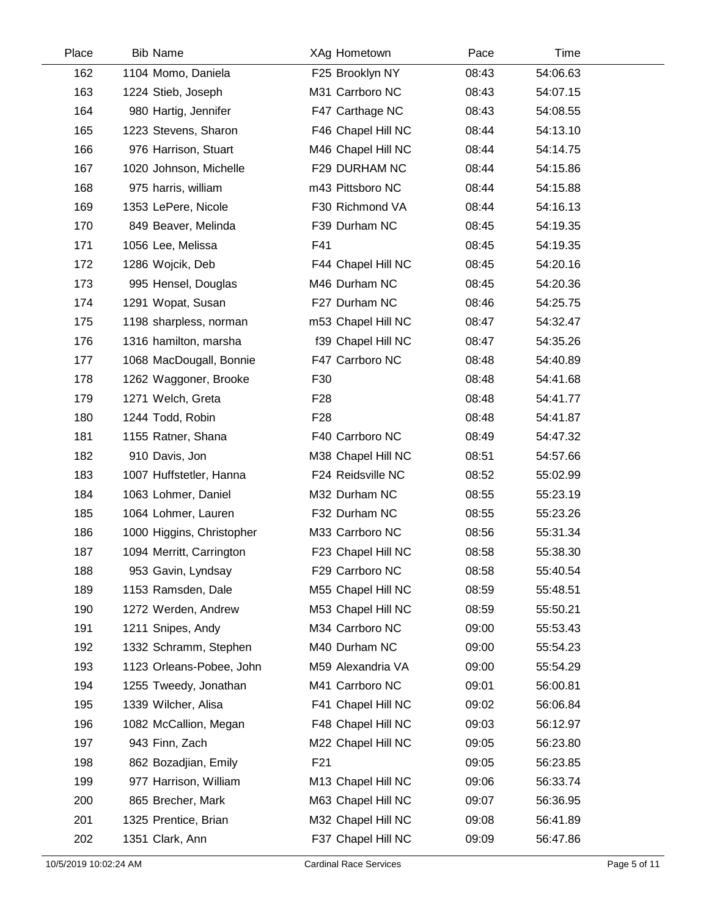| Place | <b>Bib Name</b>           | XAg Hometown       | Pace  | Time     |  |
|-------|---------------------------|--------------------|-------|----------|--|
| 162   | 1104 Momo, Daniela        | F25 Brooklyn NY    | 08:43 | 54:06.63 |  |
| 163   | 1224 Stieb, Joseph        | M31 Carrboro NC    | 08:43 | 54:07.15 |  |
| 164   | 980 Hartig, Jennifer      | F47 Carthage NC    | 08:43 | 54:08.55 |  |
| 165   | 1223 Stevens, Sharon      | F46 Chapel Hill NC | 08:44 | 54:13.10 |  |
| 166   | 976 Harrison, Stuart      | M46 Chapel Hill NC | 08:44 | 54:14.75 |  |
| 167   | 1020 Johnson, Michelle    | F29 DURHAM NC      | 08:44 | 54:15.86 |  |
| 168   | 975 harris, william       | m43 Pittsboro NC   | 08:44 | 54:15.88 |  |
| 169   | 1353 LePere, Nicole       | F30 Richmond VA    | 08:44 | 54:16.13 |  |
| 170   | 849 Beaver, Melinda       | F39 Durham NC      | 08:45 | 54:19.35 |  |
| 171   | 1056 Lee, Melissa         | F41                | 08:45 | 54:19.35 |  |
| 172   | 1286 Wojcik, Deb          | F44 Chapel Hill NC | 08:45 | 54:20.16 |  |
| 173   | 995 Hensel, Douglas       | M46 Durham NC      | 08:45 | 54:20.36 |  |
| 174   | 1291 Wopat, Susan         | F27 Durham NC      | 08:46 | 54:25.75 |  |
| 175   | 1198 sharpless, norman    | m53 Chapel Hill NC | 08:47 | 54:32.47 |  |
| 176   | 1316 hamilton, marsha     | f39 Chapel Hill NC | 08:47 | 54:35.26 |  |
| 177   | 1068 MacDougall, Bonnie   | F47 Carrboro NC    | 08:48 | 54:40.89 |  |
| 178   | 1262 Waggoner, Brooke     | F30                | 08:48 | 54:41.68 |  |
| 179   | 1271 Welch, Greta         | F <sub>28</sub>    | 08:48 | 54:41.77 |  |
| 180   | 1244 Todd, Robin          | F <sub>28</sub>    | 08:48 | 54:41.87 |  |
| 181   | 1155 Ratner, Shana        | F40 Carrboro NC    | 08:49 | 54:47.32 |  |
| 182   | 910 Davis, Jon            | M38 Chapel Hill NC | 08:51 | 54:57.66 |  |
| 183   | 1007 Huffstetler, Hanna   | F24 Reidsville NC  | 08:52 | 55:02.99 |  |
| 184   | 1063 Lohmer, Daniel       | M32 Durham NC      | 08:55 | 55:23.19 |  |
| 185   | 1064 Lohmer, Lauren       | F32 Durham NC      | 08:55 | 55:23.26 |  |
| 186   | 1000 Higgins, Christopher | M33 Carrboro NC    | 08:56 | 55:31.34 |  |
| 187   | 1094 Merritt, Carrington  | F23 Chapel Hill NC | 08:58 | 55:38.30 |  |
| 188   | 953 Gavin, Lyndsay        | F29 Carrboro NC    | 08:58 | 55:40.54 |  |
| 189   | 1153 Ramsden, Dale        | M55 Chapel Hill NC | 08:59 | 55:48.51 |  |
| 190   | 1272 Werden, Andrew       | M53 Chapel Hill NC | 08:59 | 55:50.21 |  |
| 191   | 1211 Snipes, Andy         | M34 Carrboro NC    | 09:00 | 55:53.43 |  |
| 192   | 1332 Schramm, Stephen     | M40 Durham NC      | 09:00 | 55:54.23 |  |
| 193   | 1123 Orleans-Pobee, John  | M59 Alexandria VA  | 09:00 | 55:54.29 |  |
| 194   | 1255 Tweedy, Jonathan     | M41 Carrboro NC    | 09:01 | 56:00.81 |  |
| 195   | 1339 Wilcher, Alisa       | F41 Chapel Hill NC | 09:02 | 56:06.84 |  |
| 196   | 1082 McCallion, Megan     | F48 Chapel Hill NC | 09:03 | 56:12.97 |  |
| 197   | 943 Finn, Zach            | M22 Chapel Hill NC | 09:05 | 56:23.80 |  |
| 198   | 862 Bozadjian, Emily      | F <sub>21</sub>    | 09:05 | 56:23.85 |  |
| 199   | 977 Harrison, William     | M13 Chapel Hill NC | 09:06 | 56:33.74 |  |
| 200   | 865 Brecher, Mark         | M63 Chapel Hill NC | 09:07 | 56:36.95 |  |
| 201   | 1325 Prentice, Brian      | M32 Chapel Hill NC | 09:08 | 56:41.89 |  |
| 202   | 1351 Clark, Ann           | F37 Chapel Hill NC | 09:09 | 56:47.86 |  |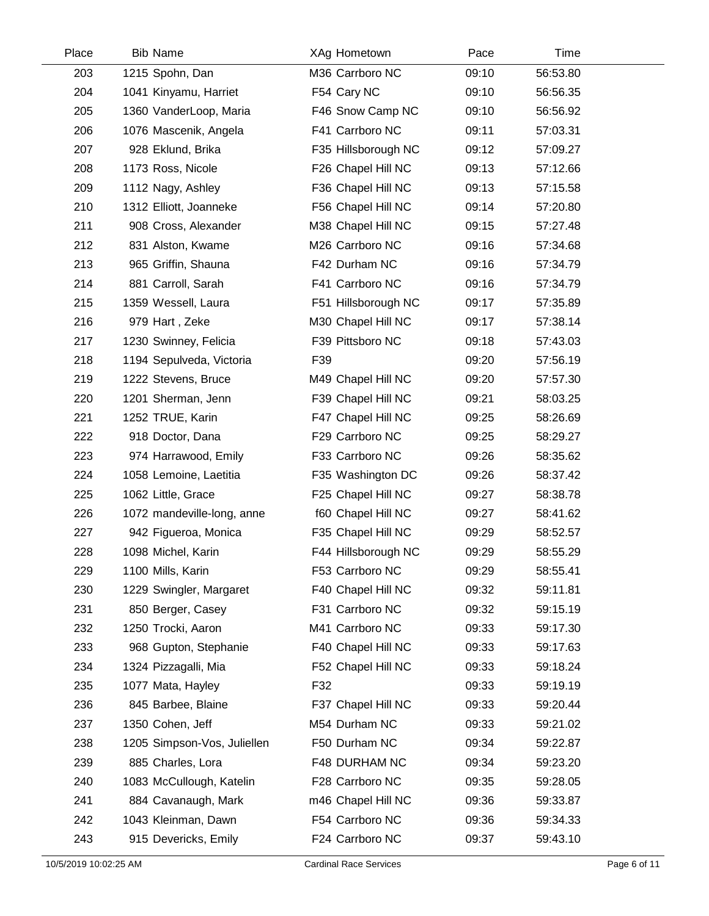| Place | <b>Bib Name</b>             | XAg Hometown        | Pace  | Time     |  |
|-------|-----------------------------|---------------------|-------|----------|--|
| 203   | 1215 Spohn, Dan             | M36 Carrboro NC     | 09:10 | 56:53.80 |  |
| 204   | 1041 Kinyamu, Harriet       | F54 Cary NC         | 09:10 | 56:56.35 |  |
| 205   | 1360 VanderLoop, Maria      | F46 Snow Camp NC    | 09:10 | 56:56.92 |  |
| 206   | 1076 Mascenik, Angela       | F41 Carrboro NC     | 09:11 | 57:03.31 |  |
| 207   | 928 Eklund, Brika           | F35 Hillsborough NC | 09:12 | 57:09.27 |  |
| 208   | 1173 Ross, Nicole           | F26 Chapel Hill NC  | 09:13 | 57:12.66 |  |
| 209   | 1112 Nagy, Ashley           | F36 Chapel Hill NC  | 09:13 | 57:15.58 |  |
| 210   | 1312 Elliott, Joanneke      | F56 Chapel Hill NC  | 09:14 | 57:20.80 |  |
| 211   | 908 Cross, Alexander        | M38 Chapel Hill NC  | 09:15 | 57:27.48 |  |
| 212   | 831 Alston, Kwame           | M26 Carrboro NC     | 09:16 | 57:34.68 |  |
| 213   | 965 Griffin, Shauna         | F42 Durham NC       | 09:16 | 57:34.79 |  |
| 214   | 881 Carroll, Sarah          | F41 Carrboro NC     | 09:16 | 57:34.79 |  |
| 215   | 1359 Wessell, Laura         | F51 Hillsborough NC | 09:17 | 57:35.89 |  |
| 216   | 979 Hart, Zeke              | M30 Chapel Hill NC  | 09:17 | 57:38.14 |  |
| 217   | 1230 Swinney, Felicia       | F39 Pittsboro NC    | 09:18 | 57:43.03 |  |
| 218   | 1194 Sepulveda, Victoria    | F39                 | 09:20 | 57:56.19 |  |
| 219   | 1222 Stevens, Bruce         | M49 Chapel Hill NC  | 09:20 | 57:57.30 |  |
| 220   | 1201 Sherman, Jenn          | F39 Chapel Hill NC  | 09:21 | 58:03.25 |  |
| 221   | 1252 TRUE, Karin            | F47 Chapel Hill NC  | 09:25 | 58:26.69 |  |
| 222   | 918 Doctor, Dana            | F29 Carrboro NC     | 09:25 | 58:29.27 |  |
| 223   | 974 Harrawood, Emily        | F33 Carrboro NC     | 09:26 | 58:35.62 |  |
| 224   | 1058 Lemoine, Laetitia      | F35 Washington DC   | 09:26 | 58:37.42 |  |
| 225   | 1062 Little, Grace          | F25 Chapel Hill NC  | 09:27 | 58:38.78 |  |
| 226   | 1072 mandeville-long, anne  | f60 Chapel Hill NC  | 09:27 | 58:41.62 |  |
| 227   | 942 Figueroa, Monica        | F35 Chapel Hill NC  | 09:29 | 58:52.57 |  |
| 228   | 1098 Michel, Karin          | F44 Hillsborough NC | 09:29 | 58:55.29 |  |
| 229   | 1100 Mills, Karin           | F53 Carrboro NC     | 09:29 | 58:55.41 |  |
| 230   | 1229 Swingler, Margaret     | F40 Chapel Hill NC  | 09:32 | 59:11.81 |  |
| 231   | 850 Berger, Casey           | F31 Carrboro NC     | 09:32 | 59:15.19 |  |
| 232   | 1250 Trocki, Aaron          | M41 Carrboro NC     | 09:33 | 59:17.30 |  |
| 233   | 968 Gupton, Stephanie       | F40 Chapel Hill NC  | 09:33 | 59:17.63 |  |
| 234   | 1324 Pizzagalli, Mia        | F52 Chapel Hill NC  | 09:33 | 59:18.24 |  |
| 235   | 1077 Mata, Hayley           | F32                 | 09:33 | 59:19.19 |  |
| 236   | 845 Barbee, Blaine          | F37 Chapel Hill NC  | 09:33 | 59:20.44 |  |
| 237   | 1350 Cohen, Jeff            | M54 Durham NC       | 09:33 | 59:21.02 |  |
| 238   | 1205 Simpson-Vos, Juliellen | F50 Durham NC       | 09:34 | 59:22.87 |  |
| 239   | 885 Charles, Lora           | F48 DURHAM NC       | 09:34 | 59:23.20 |  |
| 240   | 1083 McCullough, Katelin    | F28 Carrboro NC     | 09:35 | 59:28.05 |  |
| 241   | 884 Cavanaugh, Mark         | m46 Chapel Hill NC  | 09:36 | 59:33.87 |  |
| 242   | 1043 Kleinman, Dawn         | F54 Carrboro NC     | 09:36 | 59:34.33 |  |
| 243   | 915 Devericks, Emily        | F24 Carrboro NC     | 09:37 | 59:43.10 |  |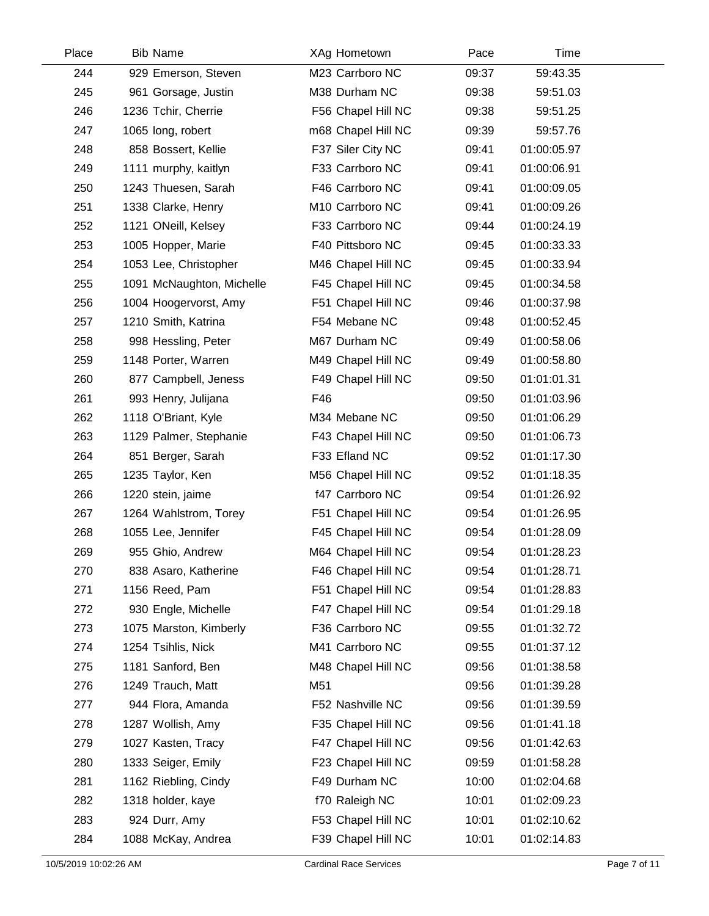| Place | <b>Bib Name</b>           | XAg Hometown       | Pace  | Time        |  |
|-------|---------------------------|--------------------|-------|-------------|--|
| 244   | 929 Emerson, Steven       | M23 Carrboro NC    | 09:37 | 59:43.35    |  |
| 245   | 961 Gorsage, Justin       | M38 Durham NC      | 09:38 | 59:51.03    |  |
| 246   | 1236 Tchir, Cherrie       | F56 Chapel Hill NC | 09:38 | 59:51.25    |  |
| 247   | 1065 long, robert         | m68 Chapel Hill NC | 09:39 | 59:57.76    |  |
| 248   | 858 Bossert, Kellie       | F37 Siler City NC  | 09:41 | 01:00:05.97 |  |
| 249   | 1111 murphy, kaitlyn      | F33 Carrboro NC    | 09:41 | 01:00:06.91 |  |
| 250   | 1243 Thuesen, Sarah       | F46 Carrboro NC    | 09:41 | 01:00:09.05 |  |
| 251   | 1338 Clarke, Henry        | M10 Carrboro NC    | 09:41 | 01:00:09.26 |  |
| 252   | 1121 ONeill, Kelsey       | F33 Carrboro NC    | 09:44 | 01:00:24.19 |  |
| 253   | 1005 Hopper, Marie        | F40 Pittsboro NC   | 09:45 | 01:00:33.33 |  |
| 254   | 1053 Lee, Christopher     | M46 Chapel Hill NC | 09:45 | 01:00:33.94 |  |
| 255   | 1091 McNaughton, Michelle | F45 Chapel Hill NC | 09:45 | 01:00:34.58 |  |
| 256   | 1004 Hoogervorst, Amy     | F51 Chapel Hill NC | 09:46 | 01:00:37.98 |  |
| 257   | 1210 Smith, Katrina       | F54 Mebane NC      | 09:48 | 01:00:52.45 |  |
| 258   | 998 Hessling, Peter       | M67 Durham NC      | 09:49 | 01:00:58.06 |  |
| 259   | 1148 Porter, Warren       | M49 Chapel Hill NC | 09:49 | 01:00:58.80 |  |
| 260   | 877 Campbell, Jeness      | F49 Chapel Hill NC | 09:50 | 01:01:01.31 |  |
| 261   | 993 Henry, Julijana       | F46                | 09:50 | 01:01:03.96 |  |
| 262   | 1118 O'Briant, Kyle       | M34 Mebane NC      | 09:50 | 01:01:06.29 |  |
| 263   | 1129 Palmer, Stephanie    | F43 Chapel Hill NC | 09:50 | 01:01:06.73 |  |
| 264   | 851 Berger, Sarah         | F33 Efland NC      | 09:52 | 01:01:17.30 |  |
| 265   | 1235 Taylor, Ken          | M56 Chapel Hill NC | 09:52 | 01:01:18.35 |  |
| 266   | 1220 stein, jaime         | f47 Carrboro NC    | 09:54 | 01:01:26.92 |  |
| 267   | 1264 Wahlstrom, Torey     | F51 Chapel Hill NC | 09:54 | 01:01:26.95 |  |
| 268   | 1055 Lee, Jennifer        | F45 Chapel Hill NC | 09:54 | 01:01:28.09 |  |
| 269   | 955 Ghio, Andrew          | M64 Chapel Hill NC | 09:54 | 01:01:28.23 |  |
| 270   | 838 Asaro, Katherine      | F46 Chapel Hill NC | 09:54 | 01:01:28.71 |  |
| 271   | 1156 Reed, Pam            | F51 Chapel Hill NC | 09:54 | 01:01:28.83 |  |
| 272   | 930 Engle, Michelle       | F47 Chapel Hill NC | 09:54 | 01:01:29.18 |  |
| 273   | 1075 Marston, Kimberly    | F36 Carrboro NC    | 09:55 | 01:01:32.72 |  |
| 274   | 1254 Tsihlis, Nick        | M41 Carrboro NC    | 09:55 | 01:01:37.12 |  |
| 275   | 1181 Sanford, Ben         | M48 Chapel Hill NC | 09:56 | 01:01:38.58 |  |
| 276   | 1249 Trauch, Matt         | M51                | 09:56 | 01:01:39.28 |  |
| 277   | 944 Flora, Amanda         | F52 Nashville NC   | 09:56 | 01:01:39.59 |  |
| 278   | 1287 Wollish, Amy         | F35 Chapel Hill NC | 09:56 | 01:01:41.18 |  |
| 279   | 1027 Kasten, Tracy        | F47 Chapel Hill NC | 09:56 | 01:01:42.63 |  |
| 280   | 1333 Seiger, Emily        | F23 Chapel Hill NC | 09:59 | 01:01:58.28 |  |
| 281   | 1162 Riebling, Cindy      | F49 Durham NC      | 10:00 | 01:02:04.68 |  |
| 282   | 1318 holder, kaye         | f70 Raleigh NC     | 10:01 | 01:02:09.23 |  |
| 283   | 924 Durr, Amy             | F53 Chapel Hill NC | 10:01 | 01:02:10.62 |  |
| 284   | 1088 McKay, Andrea        | F39 Chapel Hill NC | 10:01 | 01:02:14.83 |  |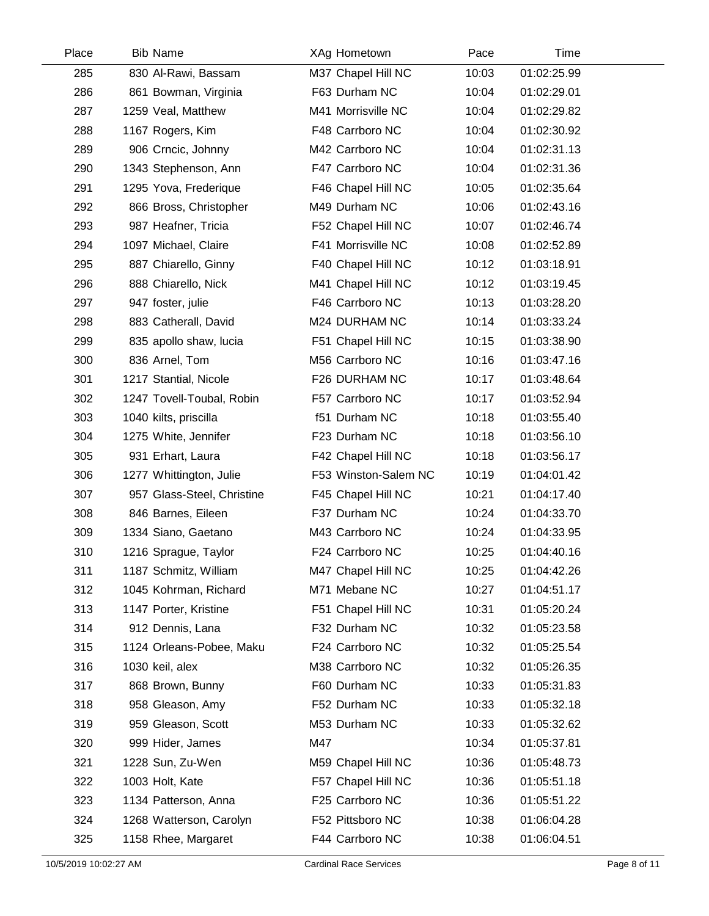| Place | <b>Bib Name</b>            | XAg Hometown         | Pace  | Time        |  |
|-------|----------------------------|----------------------|-------|-------------|--|
| 285   | 830 Al-Rawi, Bassam        | M37 Chapel Hill NC   | 10:03 | 01:02:25.99 |  |
| 286   | 861 Bowman, Virginia       | F63 Durham NC        | 10:04 | 01:02:29.01 |  |
| 287   | 1259 Veal, Matthew         | M41 Morrisville NC   | 10:04 | 01:02:29.82 |  |
| 288   | 1167 Rogers, Kim           | F48 Carrboro NC      | 10:04 | 01:02:30.92 |  |
| 289   | 906 Crncic, Johnny         | M42 Carrboro NC      | 10:04 | 01:02:31.13 |  |
| 290   | 1343 Stephenson, Ann       | F47 Carrboro NC      | 10:04 | 01:02:31.36 |  |
| 291   | 1295 Yova, Frederique      | F46 Chapel Hill NC   | 10:05 | 01:02:35.64 |  |
| 292   | 866 Bross, Christopher     | M49 Durham NC        | 10:06 | 01:02:43.16 |  |
| 293   | 987 Heafner, Tricia        | F52 Chapel Hill NC   | 10:07 | 01:02:46.74 |  |
| 294   | 1097 Michael, Claire       | F41 Morrisville NC   | 10:08 | 01:02:52.89 |  |
| 295   | 887 Chiarello, Ginny       | F40 Chapel Hill NC   | 10:12 | 01:03:18.91 |  |
| 296   | 888 Chiarello, Nick        | M41 Chapel Hill NC   | 10:12 | 01:03:19.45 |  |
| 297   | 947 foster, julie          | F46 Carrboro NC      | 10:13 | 01:03:28.20 |  |
| 298   | 883 Catherall, David       | M24 DURHAM NC        | 10:14 | 01:03:33.24 |  |
| 299   | 835 apollo shaw, lucia     | F51 Chapel Hill NC   | 10:15 | 01:03:38.90 |  |
| 300   | 836 Arnel, Tom             | M56 Carrboro NC      | 10:16 | 01:03:47.16 |  |
| 301   | 1217 Stantial, Nicole      | F26 DURHAM NC        | 10:17 | 01:03:48.64 |  |
| 302   | 1247 Tovell-Toubal, Robin  | F57 Carrboro NC      | 10:17 | 01:03:52.94 |  |
| 303   | 1040 kilts, priscilla      | f51 Durham NC        | 10:18 | 01:03:55.40 |  |
| 304   | 1275 White, Jennifer       | F23 Durham NC        | 10:18 | 01:03:56.10 |  |
| 305   | 931 Erhart, Laura          | F42 Chapel Hill NC   | 10:18 | 01:03:56.17 |  |
| 306   | 1277 Whittington, Julie    | F53 Winston-Salem NC | 10:19 | 01:04:01.42 |  |
| 307   | 957 Glass-Steel, Christine | F45 Chapel Hill NC   | 10:21 | 01:04:17.40 |  |
| 308   | 846 Barnes, Eileen         | F37 Durham NC        | 10:24 | 01:04:33.70 |  |
| 309   | 1334 Siano, Gaetano        | M43 Carrboro NC      | 10:24 | 01:04:33.95 |  |
| 310   | 1216 Sprague, Taylor       | F24 Carrboro NC      | 10:25 | 01:04:40.16 |  |
| 311   | 1187 Schmitz, William      | M47 Chapel Hill NC   | 10:25 | 01:04:42.26 |  |
| 312   | 1045 Kohrman, Richard      | M71 Mebane NC        | 10:27 | 01:04:51.17 |  |
| 313   | 1147 Porter, Kristine      | F51 Chapel Hill NC   | 10:31 | 01:05:20.24 |  |
| 314   | 912 Dennis, Lana           | F32 Durham NC        | 10:32 | 01:05:23.58 |  |
| 315   | 1124 Orleans-Pobee, Maku   | F24 Carrboro NC      | 10:32 | 01:05:25.54 |  |
| 316   | 1030 keil, alex            | M38 Carrboro NC      | 10:32 | 01:05:26.35 |  |
| 317   | 868 Brown, Bunny           | F60 Durham NC        | 10:33 | 01:05:31.83 |  |
| 318   | 958 Gleason, Amy           | F52 Durham NC        | 10:33 | 01:05:32.18 |  |
| 319   | 959 Gleason, Scott         | M53 Durham NC        | 10:33 | 01:05:32.62 |  |
| 320   | 999 Hider, James           | M47                  | 10:34 | 01:05:37.81 |  |
| 321   | 1228 Sun, Zu-Wen           | M59 Chapel Hill NC   | 10:36 | 01:05:48.73 |  |
| 322   | 1003 Holt, Kate            | F57 Chapel Hill NC   | 10:36 | 01:05:51.18 |  |
| 323   | 1134 Patterson, Anna       | F25 Carrboro NC      | 10:36 | 01:05:51.22 |  |
| 324   | 1268 Watterson, Carolyn    | F52 Pittsboro NC     | 10:38 | 01:06:04.28 |  |
| 325   | 1158 Rhee, Margaret        | F44 Carrboro NC      | 10:38 | 01:06:04.51 |  |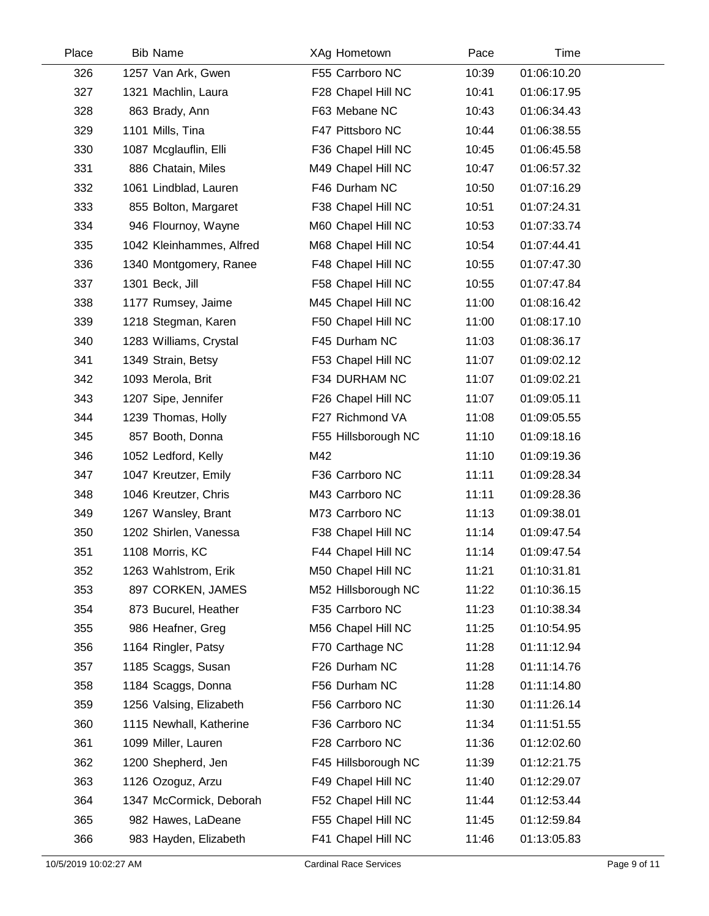| Place | <b>Bib Name</b>          | XAg Hometown        | Pace  | Time        |  |
|-------|--------------------------|---------------------|-------|-------------|--|
| 326   | 1257 Van Ark, Gwen       | F55 Carrboro NC     | 10:39 | 01:06:10.20 |  |
| 327   | 1321 Machlin, Laura      | F28 Chapel Hill NC  | 10:41 | 01:06:17.95 |  |
| 328   | 863 Brady, Ann           | F63 Mebane NC       | 10:43 | 01:06:34.43 |  |
| 329   | 1101 Mills, Tina         | F47 Pittsboro NC    | 10:44 | 01:06:38.55 |  |
| 330   | 1087 Mcglauflin, Elli    | F36 Chapel Hill NC  | 10:45 | 01:06:45.58 |  |
| 331   | 886 Chatain, Miles       | M49 Chapel Hill NC  | 10:47 | 01:06:57.32 |  |
| 332   | 1061 Lindblad, Lauren    | F46 Durham NC       | 10:50 | 01:07:16.29 |  |
| 333   | 855 Bolton, Margaret     | F38 Chapel Hill NC  | 10:51 | 01:07:24.31 |  |
| 334   | 946 Flournoy, Wayne      | M60 Chapel Hill NC  | 10:53 | 01:07:33.74 |  |
| 335   | 1042 Kleinhammes, Alfred | M68 Chapel Hill NC  | 10:54 | 01:07:44.41 |  |
| 336   | 1340 Montgomery, Ranee   | F48 Chapel Hill NC  | 10:55 | 01:07:47.30 |  |
| 337   | 1301 Beck, Jill          | F58 Chapel Hill NC  | 10:55 | 01:07:47.84 |  |
| 338   | 1177 Rumsey, Jaime       | M45 Chapel Hill NC  | 11:00 | 01:08:16.42 |  |
| 339   | 1218 Stegman, Karen      | F50 Chapel Hill NC  | 11:00 | 01:08:17.10 |  |
| 340   | 1283 Williams, Crystal   | F45 Durham NC       | 11:03 | 01:08:36.17 |  |
| 341   | 1349 Strain, Betsy       | F53 Chapel Hill NC  | 11:07 | 01:09:02.12 |  |
| 342   | 1093 Merola, Brit        | F34 DURHAM NC       | 11:07 | 01:09:02.21 |  |
| 343   | 1207 Sipe, Jennifer      | F26 Chapel Hill NC  | 11:07 | 01:09:05.11 |  |
| 344   | 1239 Thomas, Holly       | F27 Richmond VA     | 11:08 | 01:09:05.55 |  |
| 345   | 857 Booth, Donna         | F55 Hillsborough NC | 11:10 | 01:09:18.16 |  |
| 346   | 1052 Ledford, Kelly      | M42                 | 11:10 | 01:09:19.36 |  |
| 347   | 1047 Kreutzer, Emily     | F36 Carrboro NC     | 11:11 | 01:09:28.34 |  |
| 348   | 1046 Kreutzer, Chris     | M43 Carrboro NC     | 11:11 | 01:09:28.36 |  |
| 349   | 1267 Wansley, Brant      | M73 Carrboro NC     | 11:13 | 01:09:38.01 |  |
| 350   | 1202 Shirlen, Vanessa    | F38 Chapel Hill NC  | 11:14 | 01:09:47.54 |  |
| 351   | 1108 Morris, KC          | F44 Chapel Hill NC  | 11:14 | 01:09:47.54 |  |
| 352   | 1263 Wahlstrom, Erik     | M50 Chapel Hill NC  | 11:21 | 01:10:31.81 |  |
| 353   | 897 CORKEN, JAMES        | M52 Hillsborough NC | 11:22 | 01:10:36.15 |  |
| 354   | 873 Bucurel, Heather     | F35 Carrboro NC     | 11:23 | 01:10:38.34 |  |
| 355   | 986 Heafner, Greg        | M56 Chapel Hill NC  | 11:25 | 01:10:54.95 |  |
| 356   | 1164 Ringler, Patsy      | F70 Carthage NC     | 11:28 | 01:11:12.94 |  |
| 357   | 1185 Scaggs, Susan       | F26 Durham NC       | 11:28 | 01:11:14.76 |  |
| 358   | 1184 Scaggs, Donna       | F56 Durham NC       | 11:28 | 01:11:14.80 |  |
| 359   | 1256 Valsing, Elizabeth  | F56 Carrboro NC     | 11:30 | 01:11:26.14 |  |
| 360   | 1115 Newhall, Katherine  | F36 Carrboro NC     | 11:34 | 01:11:51.55 |  |
| 361   | 1099 Miller, Lauren      | F28 Carrboro NC     | 11:36 | 01:12:02.60 |  |
| 362   | 1200 Shepherd, Jen       | F45 Hillsborough NC | 11:39 | 01:12:21.75 |  |
| 363   | 1126 Ozoguz, Arzu        | F49 Chapel Hill NC  | 11:40 | 01:12:29.07 |  |
| 364   | 1347 McCormick, Deborah  | F52 Chapel Hill NC  | 11:44 | 01:12:53.44 |  |
| 365   | 982 Hawes, LaDeane       | F55 Chapel Hill NC  | 11:45 | 01:12:59.84 |  |
| 366   | 983 Hayden, Elizabeth    | F41 Chapel Hill NC  | 11:46 | 01:13:05.83 |  |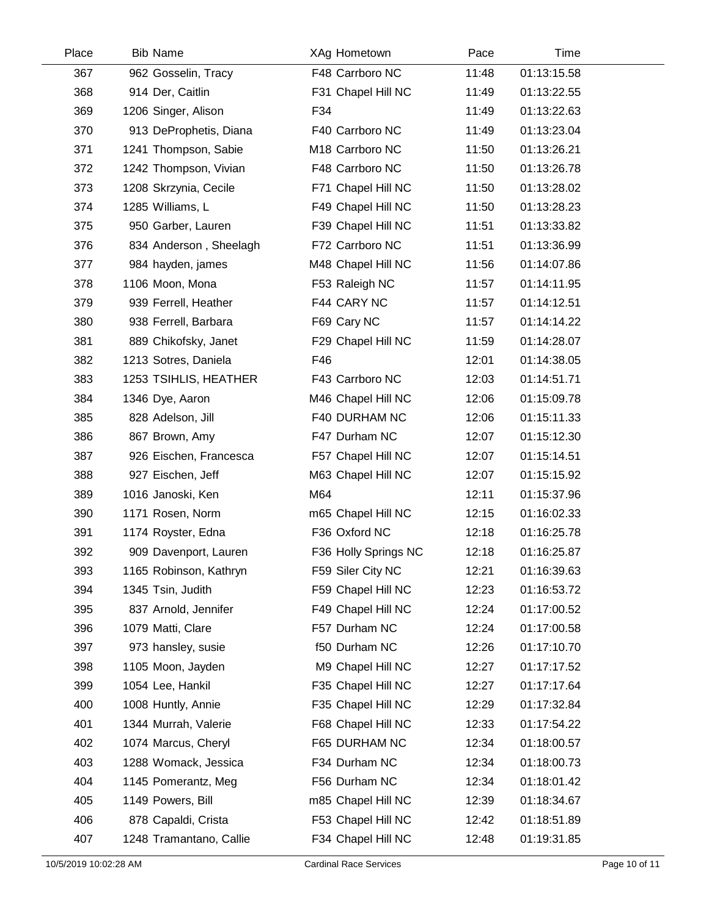| Place | <b>Bib Name</b>         | XAg Hometown         | Pace  | Time        |  |
|-------|-------------------------|----------------------|-------|-------------|--|
| 367   | 962 Gosselin, Tracy     | F48 Carrboro NC      | 11:48 | 01:13:15.58 |  |
| 368   | 914 Der, Caitlin        | F31 Chapel Hill NC   | 11:49 | 01:13:22.55 |  |
| 369   | 1206 Singer, Alison     | F34                  | 11:49 | 01:13:22.63 |  |
| 370   | 913 DeProphetis, Diana  | F40 Carrboro NC      | 11:49 | 01:13:23.04 |  |
| 371   | 1241 Thompson, Sabie    | M18 Carrboro NC      | 11:50 | 01:13:26.21 |  |
| 372   | 1242 Thompson, Vivian   | F48 Carrboro NC      | 11:50 | 01:13:26.78 |  |
| 373   | 1208 Skrzynia, Cecile   | F71 Chapel Hill NC   | 11:50 | 01:13:28.02 |  |
| 374   | 1285 Williams, L        | F49 Chapel Hill NC   | 11:50 | 01:13:28.23 |  |
| 375   | 950 Garber, Lauren      | F39 Chapel Hill NC   | 11:51 | 01:13:33.82 |  |
| 376   | 834 Anderson, Sheelagh  | F72 Carrboro NC      | 11:51 | 01:13:36.99 |  |
| 377   | 984 hayden, james       | M48 Chapel Hill NC   | 11:56 | 01:14:07.86 |  |
| 378   | 1106 Moon, Mona         | F53 Raleigh NC       | 11:57 | 01:14:11.95 |  |
| 379   | 939 Ferrell, Heather    | F44 CARY NC          | 11:57 | 01:14:12.51 |  |
| 380   | 938 Ferrell, Barbara    | F69 Cary NC          | 11:57 | 01:14:14.22 |  |
| 381   | 889 Chikofsky, Janet    | F29 Chapel Hill NC   | 11:59 | 01:14:28.07 |  |
| 382   | 1213 Sotres, Daniela    | F46                  | 12:01 | 01:14:38.05 |  |
| 383   | 1253 TSIHLIS, HEATHER   | F43 Carrboro NC      | 12:03 | 01:14:51.71 |  |
| 384   | 1346 Dye, Aaron         | M46 Chapel Hill NC   | 12:06 | 01:15:09.78 |  |
| 385   | 828 Adelson, Jill       | F40 DURHAM NC        | 12:06 | 01:15:11.33 |  |
| 386   | 867 Brown, Amy          | F47 Durham NC        | 12:07 | 01:15:12.30 |  |
| 387   | 926 Eischen, Francesca  | F57 Chapel Hill NC   | 12:07 | 01:15:14.51 |  |
| 388   | 927 Eischen, Jeff       | M63 Chapel Hill NC   | 12:07 | 01:15:15.92 |  |
| 389   | 1016 Janoski, Ken       | M64                  | 12:11 | 01:15:37.96 |  |
| 390   | 1171 Rosen, Norm        | m65 Chapel Hill NC   | 12:15 | 01:16:02.33 |  |
| 391   | 1174 Royster, Edna      | F36 Oxford NC        | 12:18 | 01:16:25.78 |  |
| 392   | 909 Davenport, Lauren   | F36 Holly Springs NC | 12:18 | 01:16:25.87 |  |
| 393   | 1165 Robinson, Kathryn  | F59 Siler City NC    | 12:21 | 01:16:39.63 |  |
| 394   | 1345 Tsin, Judith       | F59 Chapel Hill NC   | 12:23 | 01:16:53.72 |  |
| 395   | 837 Arnold, Jennifer    | F49 Chapel Hill NC   | 12:24 | 01:17:00.52 |  |
| 396   | 1079 Matti, Clare       | F57 Durham NC        | 12:24 | 01:17:00.58 |  |
| 397   | 973 hansley, susie      | f50 Durham NC        | 12:26 | 01:17:10.70 |  |
| 398   | 1105 Moon, Jayden       | M9 Chapel Hill NC    | 12:27 | 01:17:17.52 |  |
| 399   | 1054 Lee, Hankil        | F35 Chapel Hill NC   | 12:27 | 01:17:17.64 |  |
| 400   | 1008 Huntly, Annie      | F35 Chapel Hill NC   | 12:29 | 01:17:32.84 |  |
| 401   | 1344 Murrah, Valerie    | F68 Chapel Hill NC   | 12:33 | 01:17:54.22 |  |
| 402   | 1074 Marcus, Cheryl     | F65 DURHAM NC        | 12:34 | 01:18:00.57 |  |
| 403   | 1288 Womack, Jessica    | F34 Durham NC        | 12:34 | 01:18:00.73 |  |
| 404   | 1145 Pomerantz, Meg     | F56 Durham NC        | 12:34 | 01:18:01.42 |  |
| 405   | 1149 Powers, Bill       | m85 Chapel Hill NC   | 12:39 | 01:18:34.67 |  |
| 406   | 878 Capaldi, Crista     | F53 Chapel Hill NC   | 12:42 | 01:18:51.89 |  |
| 407   | 1248 Tramantano, Callie | F34 Chapel Hill NC   | 12:48 | 01:19:31.85 |  |